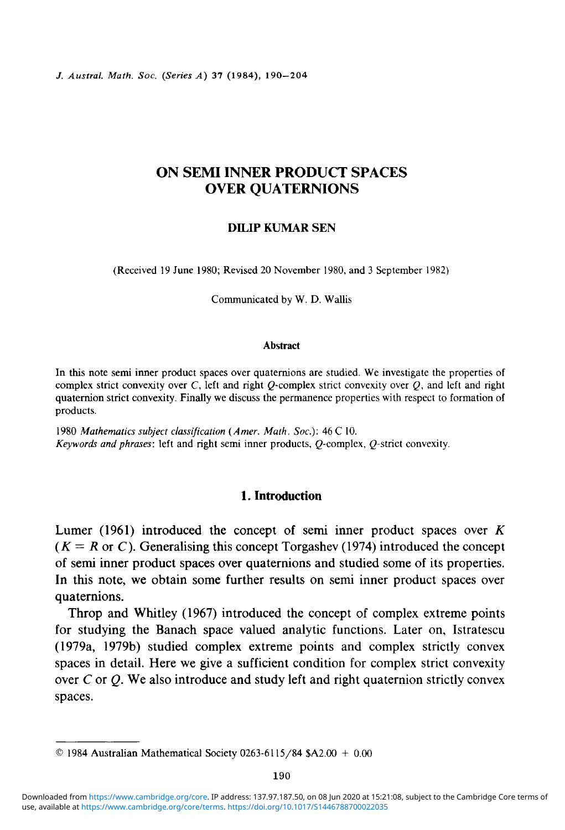/. *Austral. Math. Soc. (Series A)* 37 (1984), 190-204

# ON SEMI INNER PRODUCT SPACES OVER QUATERNIONS

#### **DILIP KUMAR SEN**

(Received 19 June 1980; Revised 20 November 1980, and 3 September 1982)

Communicated by W. D. Wallis

#### **Abstract**

**In** this note semi inner product spaces over quaternions are studied. We investigate the properties of complex strict convexity over C, left and right Q-complex strict convexity over Q, and left and right quaternion strict convexity. Finally we discuss the permanence properties with respect to formation of products.

1980 *Mathematics subject classification (Amer. Math. Soc):* 46 C 10. *Keywords and phrases*: left and right semi inner products, O-complex, O-strict convexity.

#### **1. Introduction**

Lumer (1961) introduced the concept of semi inner product spaces over *K*  $(K = R \text{ or } C)$ . Generalising this concept Torgashev (1974) introduced the concept of semi inner product spaces over quaternions and studied some of its properties. In this note, we obtain some further results on semi inner product spaces over quaternions.

Throp and Whitley (1967) introduced the concept of complex extreme points for studying the Banach space valued analytic functions. Later on, Istratescu (1979a, 1979b) studied complex extreme points and complex strictly convex spaces in detail. Here we give a sufficient condition for complex strict convexity over *C* or *Q.* We also introduce and study left and right quaternion strictly convex spaces.

 $© 1984 Australian Mathematical Society 0263-6115/84 $A2.00 + 0.00$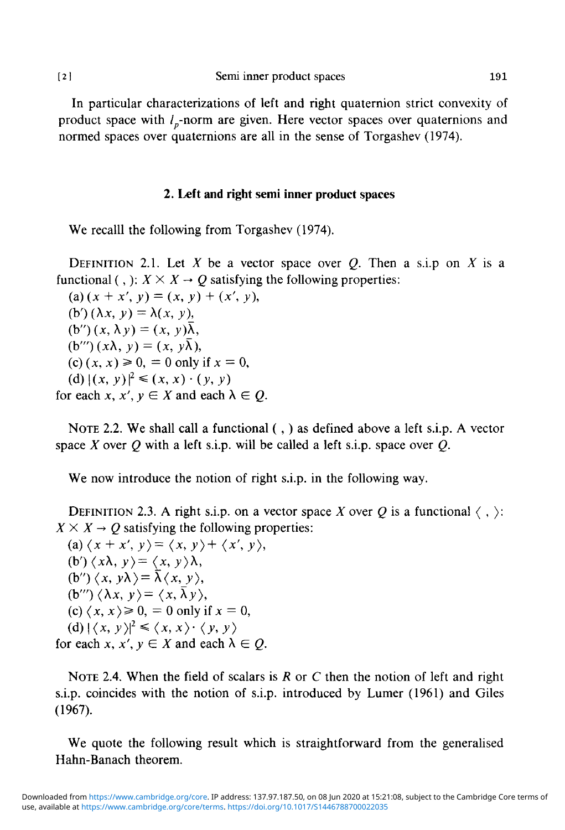[2 ] Semi inner product spaces 191

In particular characterizations of left and right quaternion strict convexity of product space with  $l_n$ -norm are given. Here vector spaces over quaternions and normed spaces over quaternions are all in the sense of Torgashev (1974).

## **2. Left and right semi inner product spaces**

We recalll the following from Torgashev (1974).

DEFINITION 2.1. Let X be a vector space over Q. Then a s.i.p on X is a functional (, ):  $X \times X \rightarrow Q$  satisfying the following properties:

(a)  $(x + x', y) = (x, y) + (x', y),$ (b')  $(\lambda x, y) = \lambda(x, y)$ ,  $(b'')(x, \lambda y) = (x, y)\overline{\lambda}$ ,  $(b''')(x\lambda, y) = (x, y\overline{\lambda}),$ (c)  $(x, x) \ge 0$ , = 0 only if  $x = 0$ ,  $(d) |(x, y)|^2 \leq (x, y)$ for each  $x, x', y \in X$  and each  $\lambda \in Q$ .

NOTE 2.2. We shall call a functional (,) as defined above a left s.i.p. A vector space *X* over *Q* with a left s.i.p. will be called a left s.i.p. space over *Q.*

We now introduce the notion of right s.i.p. in the following way.

DEFINITION 2.3. A right s.i.p. on a vector space X over Q is a functional  $\langle , \rangle$ :  $X \times X \rightarrow O$  satisfying the following properties:

(a)  $\langle x + x', y \rangle = \langle x, y \rangle + \langle x', y \rangle$ ,  $(b')\langle x\lambda, y\rangle = \langle x, y\rangle \lambda,$  $(b'')\langle x, y\lambda\rangle = \overline{\lambda}\langle x, y\rangle$ ,  $(b''')\langle \lambda x, y\rangle = \langle x, \overline{\lambda} y\rangle,$  $(c) \langle x, x \rangle \ge 0$ ,  $= 0$  only if  $x = 0$ ,  $(d)$   $|\langle x, y \rangle|^2 \leq \langle x, x \rangle$ for each  $x, x', y \in X$  and each  $\lambda \in Q$ .

NOTE 2.4. When the field of scalars is *R* or C then the notion of left and right s.i.p. coincides with the notion of s.i.p. introduced by Lumer (1961) and Giles (1967).

We quote the following result which is straightforward from the generalised Hahn-Banach theorem.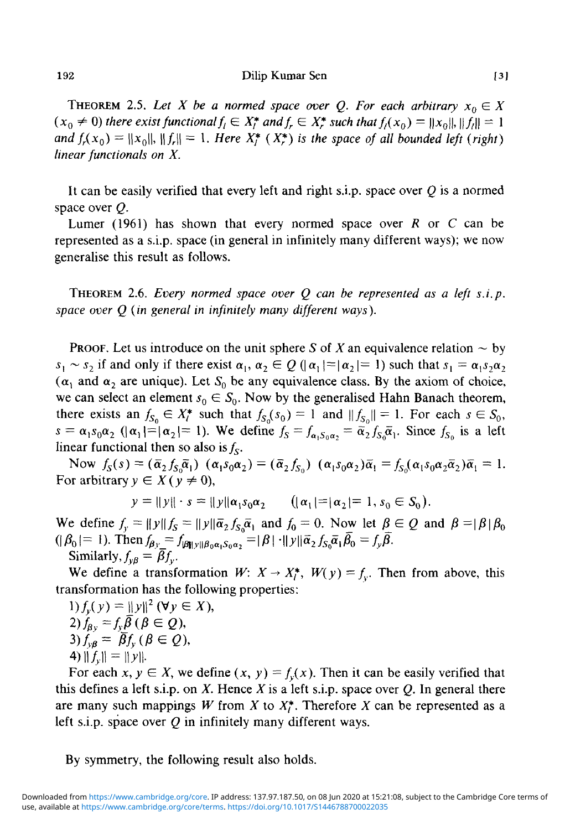192 **Dilip Kumar Sen** [3]

THEOREM 2.5. Let X be a normed space over Q. For each arbitrary  $x_0 \in X$  $(x_0 \neq 0)$  there exist functional  $f_i \in X_i^*$  and  $f_r \in X_r^*$  such that  $f_i(x_0) = ||x_0||, ||f_i|| = 1$ *and*  $f_r(x_0) = ||x_0||$ ,  $||f_r|| = 1$ . *Here X<sub>f</sub>* (*X\*) is the space of all bounded left (right) linear functionals on X.* 

It can be easily verified that every left and right s.i.p. space over *Q* is a normed space over *Q.*

Lumer (1961) has shown that every normed space over *R* or C can be represented as a s.i.p. space (in general in infinitely many different ways); we now generalise this result as follows.

THEOREM 2.6. *Every normed space over Q can be represented as a left s.i.p. space over Q (in general in infinitely many different ways).*

PROOF. Let us introduce on the unit sphere S of X an equivalence relation  $\sim$  by  $s_1 \sim s_2$  if and only if there exist  $\alpha_1, \alpha_2 \in Q$  ( $|\alpha_1| = |\alpha_2| = 1$ ) such that  $s_1 = \alpha_1 s_2 \alpha$ ( $\alpha_1$  and  $\alpha_2$  are unique). Let  $S_0$  be any equivalence class. By the axiom of choice, we can select an element  $s_0 \in S_0$ . Now by the generalised Hahn Banach theorem, there exists an  $f_{S_0} \in X_t^*$  such that  $f_{S_0}(s_0) = 1$  and  $||f_{S_0}|| = 1$ . For each  $s \in S_0$ ,  $s = \alpha_1 s_0 \alpha_2$  ( $|\alpha_1| = |\alpha_2| = 1$ ). We define  $f_s = f_{\alpha_1 S_0 \alpha_2} = \overline{\alpha}_2 f_{s_0} \overline{\alpha}_1$ . Since  $f_{s_0}$  is a left linear functional then so also is  $f_s$ .

Now  $f_S(s) = (\overline{\alpha}_2 f_{S_0} \overline{\alpha}_1) \cdot (\alpha_1 s_0 \alpha_2) = (\overline{\alpha}_2 f_{S_0}) \cdot (\alpha_1 s_0 \alpha_2) \overline{\alpha}_1 = f_{S_0} (\alpha_1 s_0 \alpha_2 \overline{\alpha}_2) \overline{\alpha}_1 = 1.$ For arbitrary  $y \in X$  ( $y \neq 0$ ),

$$
y = ||y|| \cdot s = ||y|| \alpha_1 s_0 \alpha_2 \qquad (|\alpha_1| = |\alpha_2| = 1, s_0 \in S_0).
$$

We define  $f_y = ||y||f_S = ||y||\bar{\alpha}_2 f_{S_0} \bar{\alpha}_1$  and  $f_0 = 0$ . Now let  $\beta \in Q$  and  $\beta = |\beta| \beta_0$  $(|\beta_0|=1)$ . Then  $f_{\beta y}=f_{|\beta||y||\beta_0\alpha_1\beta_0\alpha_2}=|\beta|\cdot||y||\bar{\alpha}_2 f_{S_0}\bar{\alpha}_1\bar{\beta}_0=f_y\bar{\beta}.$ Similarly,  $f_{\nu\beta} = \bar{\beta} f_{\nu}$ .

We define a transformation  $W: X \to X_i^*$ ,  $W(y) = f_y$ . Then from above, this transformation has the following properties:

1) 
$$
f_y(y) = ||y||^2 (\forall y \in X)
$$
  
\n2) 
$$
f_{\beta y} = f_y \overline{\beta} (\beta \in Q),
$$
  
\n3) 
$$
f_{y\beta} = \overline{\beta} f_y (\beta \in Q),
$$
  
\n4) 
$$
||f_y|| = ||y||.
$$

For each  $x, y \in X$ , we define  $(x, y) = f_y(x)$ . Then it can be easily verified that this defines a left s.i.p. on *X.* Hence *X* is a left s.i.p. space over *Q.* In general there are many such mappings *W* from *X* to *X\*.* Therefore *X* can be represented as a left s.i.p. space over *Q* in infinitely many different ways.

By symmetry, the following result also holds.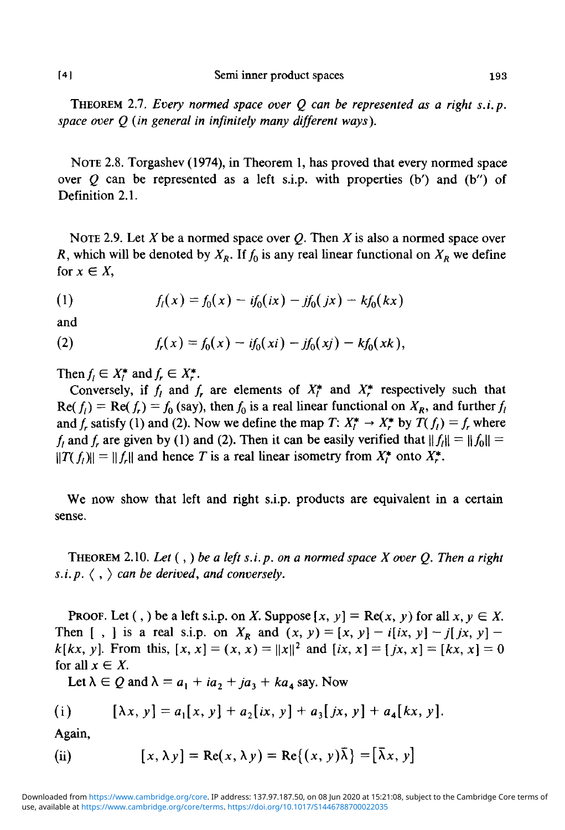THEOREM 2.7. *Every normed space over Q can be represented as a right s.i.p. space over Q (in general in infinitely many different ways).*

NOTE 2.8. Torgashev (1974), in Theorem 1, has proved that every normed space over  $Q$  can be represented as a left s.i.p. with properties (b') and (b'') of Definition 2.1.

NOTE 2.9. Let  $X$  be a normed space over  $Q$ . Then  $X$  is also a normed space over *R*, which will be denoted by  $X_R$ . If  $f_0$  is any real linear functional on  $X_R$  we define for  $x \in X$ ,

(1) 
$$
f_1(x) = f_0(x) - if_0(ix) - jf_0(jx) - kf_0(kx)
$$

and

(2) 
$$
f_r(x) = f_0(x) - if_0(xi) - jf_0(xj) - kf_0(xk),
$$

Then  $f_i \in X_i^*$  and  $f_r \in X_r^*$ .

Conversely, if  $f_i$  and  $f_r$  are elements of  $X_i^*$  and  $X_r^*$  respectively such that  $\text{Re}(f_i) = \text{Re}(f_i) = f_0$  (say), then  $f_0$  is a real linear functional on  $X_R$ , and further  $f_i$ and  $f_r$  satisfy (1) and (2). Now we define the map  $T: X_f^* \to X_r^*$  by  $T(f_l) = f_r$  where  $f_i$  and  $f_r$  are given by (1) and (2). Then it can be easily verified that  $||f_i|| = ||f_0|| =$  $||f_l|| = ||f_r||$  and hence *T* is a real linear isometry from  $X_t^*$  onto  $X_t^*$ .

We now show that left and right s.i.p. products are equivalent in a certain sense.

THEOREM 2.10. *Let* (,) *be a left s.i.p. on a normed space X over Q. Then a right s.i.p.*  $\langle , \rangle$  *can be derived, and conversely.* 

**PROOF.** Let (,) be a left s.i.p. on X. Suppose  $[x, y] = \text{Re}(x, y)$  for all  $x, y \in X$ . Then  $[ , ]$  is a real s.i.p. on  $X_R$  and  $(x, y) = [x, y] - i(ix, y] - j(jx, y] - j(iz, y)$  $k[kx, y]$ . From this,  $[x, x] = (x, x) = ||x||^2$  and  $(ix, x] = [jx, x] = [kx, x] = 0$ for all  $x \in X$ .

Let  $\lambda \in Q$  and  $\lambda = a_1 + ia_2 + ja_3 + ka_4$  say. Now

(i) 
$$
[\lambda x, y] = a_1[x, y] + a_2(ix, y] + a_3(jx, y) + a_4(kx, y).
$$

Again,

(ii) 
$$
[x, \lambda y] = \text{Re}(x, \lambda y) = \text{Re}\{(x, y)\overline{\lambda}\} = [\overline{\lambda}x, y]
$$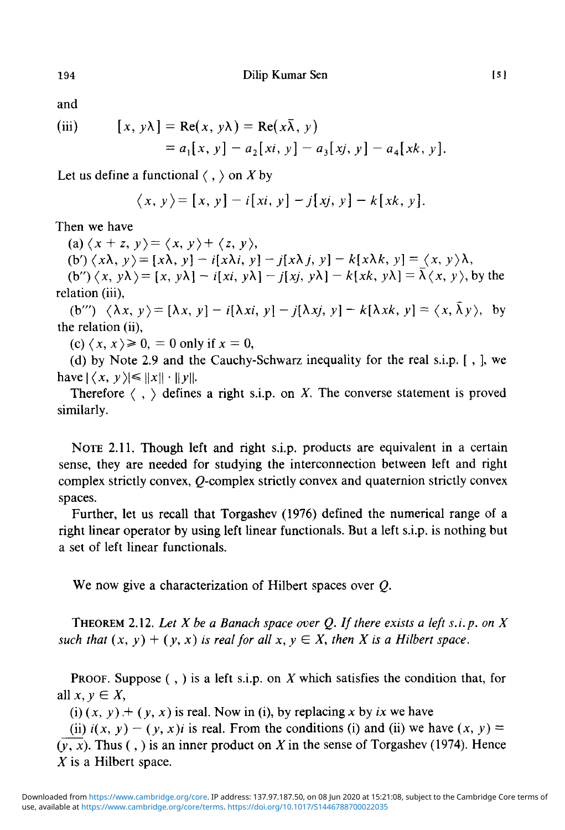and

(iii) 
$$
[x, y\lambda] = \text{Re}(x, y\lambda) = \text{Re}(x\overline{\lambda}, y) = a_1[x, y] - a_2[xi, y] - a_3[xj, y] - a_4[xk, y].
$$

Let us define a functional  $\langle , \rangle$  on X by

$$
\langle x, y \rangle = [x, y] - i[xi, y] - j[xj, y] - k[xk, y].
$$

Then we have

(a)  $\langle x + z, y \rangle = \langle x, y \rangle + \langle z, y \rangle$ ,

(b')  $\langle x\lambda, y\rangle = [x\lambda, y] - i[x\lambda i, y] - j[x\lambda j, y] - k[x\lambda k, y] = \langle x, y\rangle \lambda$ ,

 $f(b'')\langle x, y\lambda\rangle = [x, y\lambda] - i[xi, y\lambda] - j[xj, y\lambda] - k[xk, y\lambda] = \overline{\lambda}\langle x, y\rangle$ , by the relation (iii),

(b''')  $\langle \lambda x, y \rangle = [\lambda x, y] - i[\lambda x i, y] - j[\lambda x j, y] - k[\lambda x k, y] = \langle x, \overline{\lambda} y \rangle$ , by the relation (ii),

*(c)* $\langle x, x \rangle \ge 0$ ,  $= 0$  only if  $x = 0$ ,

(d) by Note 2.9 and the Cauchy-Schwarz inequality for the real s.i.p. [ , ], we have  $|\langle x, y \rangle| \leq ||x|| \cdot ||y||$ .

Therefore  $\langle , \rangle$  defines a right s.i.p. on X. The converse statement is proved similarly.

NOTE 2.11. Though left and right s.i.p. products are equivalent in a certain sense, they are needed for studying the interconnection between left and right complex strictly convex,  $Q$ -complex strictly convex and quaternion strictly convex spaces.

Further, let us recall that Torgashev (1976) defined the numerical range of a right linear operator by using left linear functionals. But a left s.i.p. is nothing but a set of left linear functionals.

We now give a characterization of Hilbert spaces over *Q.*

THEOREM 2.12. *Let X be a Banach space over Q. If there exists a left s.i.p. on X* such that  $(x, y) + (y, x)$  is real for all  $x, y \in X$ , then X is a Hilbert space.

PROOF. Suppose ( , ) is a left s.i.p. on *X* which satisfies the condition that, for all  $x, y \in X$ ,

(i)  $(x, y) + (y, x)$  is real. Now in (i), by replacing x by ix we have

(ii)  $i(x, y) - (y, x)i$  is real. From the conditions (i) and (ii) we have  $(x, y) =$  $(\overline{y}, \overline{x})$ . Thus (, ) is an inner product on X in the sense of Torgashev (1974). Hence *X* is a Hilbert space.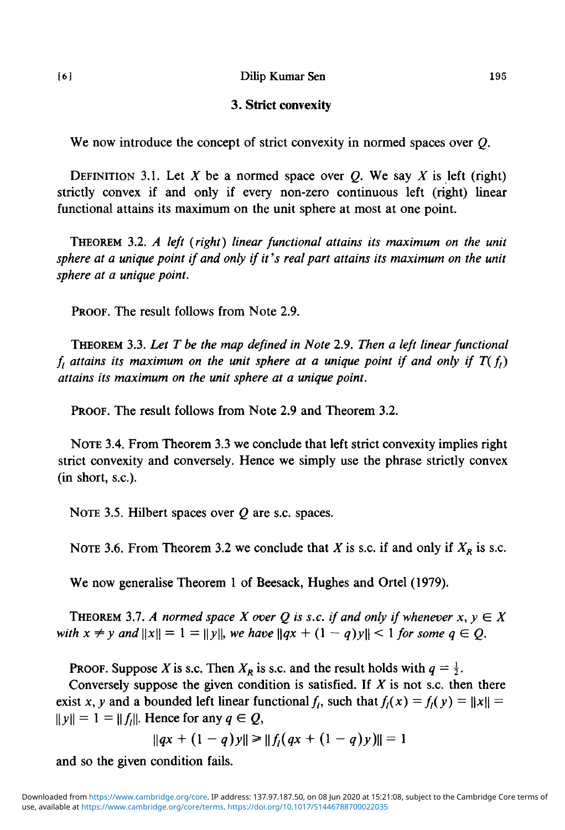#### [6] Dilip Kumar Sen 195

#### **3. Strict convexity**

We now introduce the concept of strict convexity in normed spaces over *Q.*

DEFINITION 3.1. Let X be a normed space over  $Q$ . We say X is left (right) strictly convex if and only if every non-zero continuous left (right) linear functional attains its maximum on the unit sphere at most at one point.

THEOREM 3.2. *A left {right) linear functional attains its maximum on the unit sphere at a unique point if and only if it's real part attains its maximum on the unit sphere at a unique point.*

PROOF. The result follows from Note 2.9.

THEOREM 3.3. *Let T be the map defined in Note* 2.9. *Then a left linear functional*  $f_l$  attains its maximum on the unit sphere at a unique point if and only if  $T(f_l)$ *attains its maximum on the unit sphere at a unique point.*

PROOF. The result follows from Note 2.9 and Theorem 3.2.

NOTE 3.4. From Theorem 3.3 we conclude that left strict convexity implies right strict convexity and conversely. Hence we simply use the phrase strictly convex (in short, s.c).

NOTE 3.5. Hilbert spaces over *Q* are s.c. spaces.

NOTE 3.6. From Theorem 3.2 we conclude that *X* is s.c. if and only if  $X_R$  is s.c.

We now generalise Theorem 1 of Beesack, Hughes and Ortel (1979).

THEOREM 3.7. A normed space X over Q is s.c. if and only if whenever  $x, y \in X$ *with*  $x \neq y$  and  $\|x\| = 1 = \|y\|$ , we have  $\|qx + (1 - q)y\| < 1$  for some  $q \in Q$ .

**PROOF.** Suppose *X* is s.c. Then  $X_R$  is s.c. and the result holds with  $q = \frac{1}{2}$ .

Conversely suppose the given condition is satisfied. If *X* is not s.c. then there exist *x*, *y* and a bounded left linear functional  $f_t$ , such that  $f_t(x) = f_t(y) = ||x|| =$  $\|y\| = 1 = \|f_i\|$ . Hence for any  $q \in Q$ ,

$$
||qx + (1-q)y|| \ge ||f_1(qx + (1-q)y)|| = 1
$$

and so the given condition fails.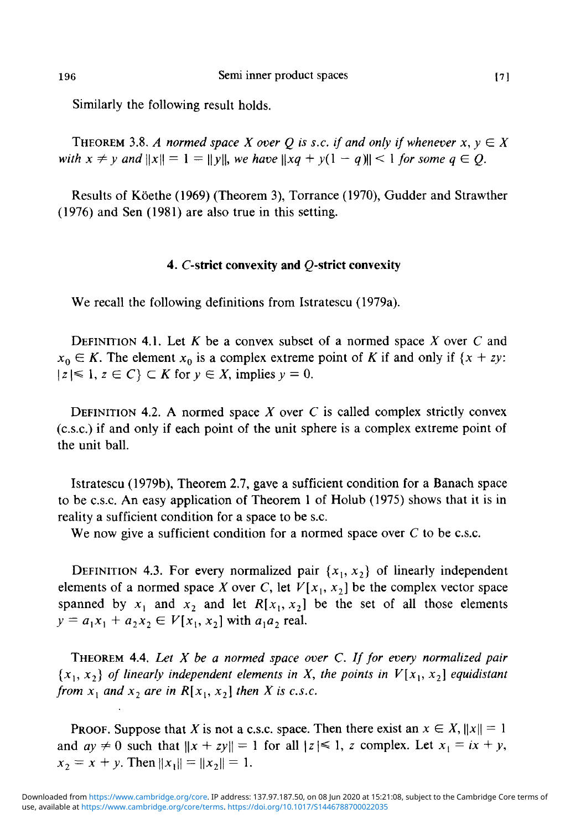Similarly the following result holds.

THEOREM 3.8. A normed space X over Q is s.c. if and only if whenever  $x, y \in X$ *with*  $x \neq y$  and  $||x|| = 1 = ||y||$ , we have  $||xq + y(1 - q)|| \leq 1$  for some  $q \in Q$ .

Results of Köethe (1969) (Theorem 3), Torrance (1970), Gudder and Strawther (1976) and Sen (1981) are also true in this setting.

#### 4. C-strict convexity and Q-strict convexity

We recall the following definitions from Istratescu (1979a).

DEFINITION 4.1. Let *K* be a convex subset of a normed space *X* over C and  $x_0 \in K$ . The element  $x_0$  is a complex extreme point of *K* if and only if  $\{x + zy\}$ .  $|z| \leq 1, z \in C$   $\subset K$  for  $y \in X$ , implies  $y = 0$ .

DEFINITION 4.2. A normed space *X* over C is called complex strictly convex (c.s.c.) if and only if each point of the unit sphere is a complex extreme point of the unit ball.

Istratescu (1979b), Theorem 2.7, gave a sufficient condition for a Banach space to be c.s.c. An easy application of Theorem 1 of Holub (1975) shows that it is in reality a sufficient condition for a space to be s.c.

We now give a sufficient condition for a normed space over  $C$  to be c.s.c.

DEFINITION 4.3. For every normalized pair  $\{x_1, x_2\}$  of linearly independent elements of a normed space *X* over *C*, let  $V[x_1, x_2]$  be the complex vector space spanned by  $x_1$  and  $x_2$  and let  $R[x_1, x_2]$  be the set of all those elements  $y = a_1x_1 + a_2x_2 \in V[x_1, x_2]$  with  $a_1a_2$  real.

THEOREM 4.4. *Let X be a normed space over C. If for every normalized pair*  ${x_1, x_2}$  of linearly independent elements in X, the points in  $V[x_1, x_2]$  equidistant *from*  $x_1$  *and*  $x_2$  *are in*  $R[x_1, x_2]$  *then X is c.s.c.* 

**PROOF.** Suppose that X is not a c.s.c. space. Then there exist an  $x \in X$ ,  $||x|| = 1$ and  $ay \neq 0$  such that  $||x + zy|| = 1$  for all  $|z| \leq 1$ , z complex. Let  $x_1 = ix + y$ ,  $x_2 = x + y$ . Then  $||x_1|| = ||x_2|| = 1$ .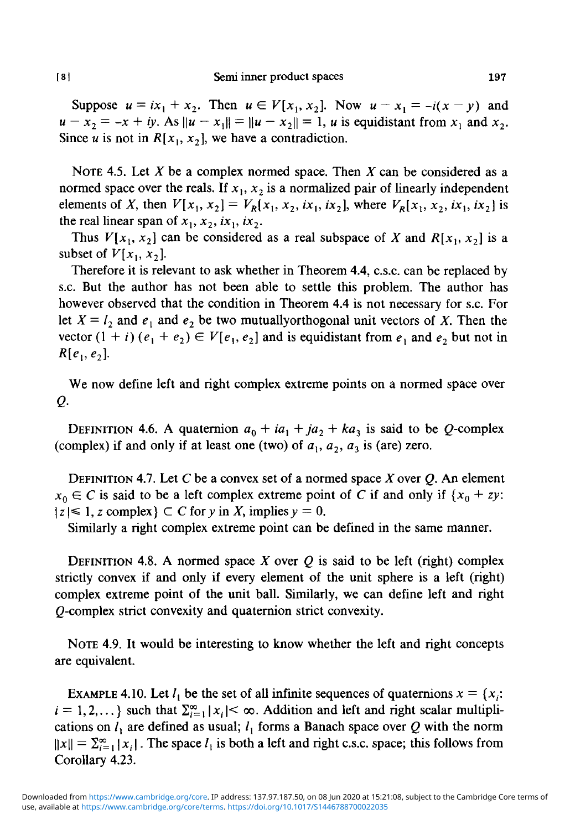Suppose  $u = ix_1 + x_2$ . Then  $u \in V[x_1, x_2]$ . Now  $u - x_1 = -i(x - y)$  and  $u - x_2 = -x + iy$ . As  $||u - x_1|| = ||u - x_2|| = 1$ , *u* is equidistant from  $x_1$  and  $x_2$ . Since *u* is not in  $R[x_1, x_2]$ , we have a contradiction.

NOTE 4.5. Let A' be a complex normed space. Then *X* can be considered as a normed space over the reals. If  $x_1, x_2$  is a normalized pair of linearly independent elements of *X*, then  $V[x_1, x_2] = V_R[x_1, x_2, i x_1, i x_2]$ , where  $V_R[x_1, x_2, i x_1, i x_2]$  is the real linear span of  $x_1, x_2, ix_1, ix_2$ .

Thus  $V[x_1, x_2]$  can be considered as a real subspace of X and  $R[x_1, x_2]$  is a subset of  $V[x_1, x_2]$ .

Therefore it is relevant to ask whether in Theorem 4.4, c.s.c. can be replaced by s.c. But the author has not been able to settle this problem. The author has however observed that the condition in Theorem 4.4 is not necessary for s.c. For let  $X = l_2$  and  $e_1$  and  $e_2$  be two mutuallyorthogonal unit vectors of X. Then the vector  $(1 + i)(e_1 + e_2) \in V[e_1, e_2]$  and is equidistant from  $e_1$  and  $e_2$  but not in  $R[e_1, e_2]$ .

We now define left and right complex extreme points on a normed space over *Q.*

DEFINITION 4.6. A quaternion  $a_0 + ia_1 + ja_2 + ka_3$  is said to be Q-complex (complex) if and only if at least one (two) of  $a_1$ ,  $a_2$ ,  $a_3$  is (are) zero.

DEFINITION 4.7. Let C be a convex set of a normed space *X* over *Q.* An element  $x_0 \in C$  is said to be a left complex extreme point of C if and only if  $\{x_0 + zy:$  $|z| \leq 1$ , z complex  $\subset C$  for y in X, implies  $y = 0$ .

Similarly a right complex extreme point can be defined in the same manner.

DEFINITION 4.8. A normed space *X* over *Q* is said to be left (right) complex strictly convex if and only if every element of the unit sphere is a left (right) complex extreme point of the unit ball. Similarly, we can define left and right (^-complex strict convexity and quaternion strict convexity.

NOTE 4.9. It would be interesting to know whether the left and right concepts are equivalent.

EXAMPLE 4.10. Let  $l_1$  be the set of all infinite sequences of quaternions  $x = \{x_i:$  $i = 1, 2, \dots$ } such that  $\sum_{i=1}^{\infty} |x_i| < \infty$ . Addition and left and right scalar multiplications on  $l_1$  are defined as usual;  $l_1$  forms a Banach space over Q with the norm  $||x|| = \sum_{i=1}^{\infty} |x_i|$ . The space  $l_1$  is both a left and right c.s.c. space; this follows from Corollary 4.23.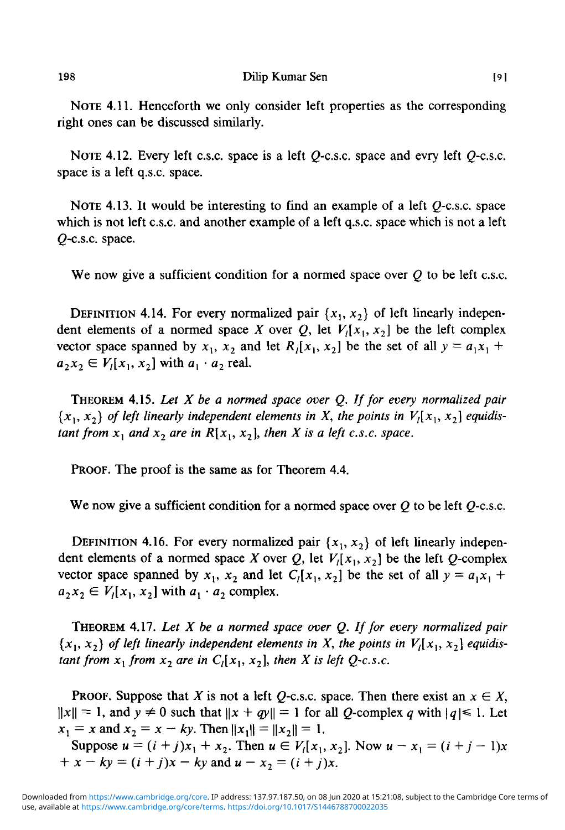198 Dilip Kumar Sen [9]

NOTE 4.11. Henceforth we only consider left properties as the corresponding right ones can be discussed similarly.

NOTE 4.12. Every left c.s.c. space is a left *Q-c.s.c.* space and evry left *Q-c.s.c.* space is a left q.s.c. space.

NOTE 4.13. It would be interesting to find an example of a left  $Q$ -c.s.c. space which is not left c.s.c. and another example of a left q.s.c. space which is not a left Q-c.s.c. space.

We now give a sufficient condition for a normed space over *Q* to be left c.s.c.

DEFINITION 4.14. For every normalized pair  $\{x_1, x_2\}$  of left linearly independent elements of a normed space *X* over *Q*, let  $V<sub>l</sub>[x<sub>1</sub>, x<sub>2</sub>]$  be the left complex vector space spanned by  $x_1$ ,  $x_2$  and let  $R_1[x_1, x_2]$  be the set of all  $y = a_1x_1 +$  $a_2x_2 \in V_1[x_1, x_2]$  with  $a_1 \cdot a_2$  real.

THEOREM 4.15. *Let X be a normed space over Q. If for every normalized pair*  ${x_1, x_2}$  of left linearly independent elements in X, the points in  $V_1[x_1, x_2]$  equidis*tant from*  $x_1$  *and*  $x_2$  *are in*  $R[x_1, x_2]$ *, then X is a left c.s.c. space.* 

PROOF. The proof is the same as for Theorem 4.4.

We now give a sufficient condition for a normed space over *Q* to be left *Q-c.s.c.*

DEFINITION 4.16. For every normalized pair  $\{x_1, x_2\}$  of left linearly independent elements of a normed space *X* over *Q*, let  $V_1[x_1, x_2]$  be the left *Q*-complex vector space spanned by  $x_1$ ,  $x_2$  and let  $C_l[x_1, x_2]$  be the set of all  $y = a_1x_1 +$  $a_2x_2 \in V_1[x_1, x_2]$  with  $a_1 \cdot a_2$  complex.

THEOREM 4.17. *Let X be a normed space over Q. If for every normalized pair*  ${x_1, x_2}$  of left linearly independent elements in X, the points in  $V_1[x_1, x_2]$  equidis*tant from*  $x_1$  *from*  $x_2$  *are in*  $C_l[x_1, x_2]$ *, then X is left Q-c.s.c.* 

**PROOF.** Suppose that X is not a left Q-c.s.c. space. Then there exist an  $x \in X$ ,  $||x|| = 1$ , and  $y \neq 0$  such that  $||x + qy|| = 1$  for all Q-complex q with  $|q| \leq 1$ . Let  $x_1 = x$  and  $x_2 = x - ky$ . Then  $||x_1|| = ||x_2|| = 1$ .

Suppose  $u = (i + j)x_1 + x_2$ . Then  $u \in V_1[x_1, x_2]$ . Now  $u - x_1 = (i + j - 1)x$  $+ x - ky = (i + j)x - ky$  and  $u - x_2 = (i + j)x$ .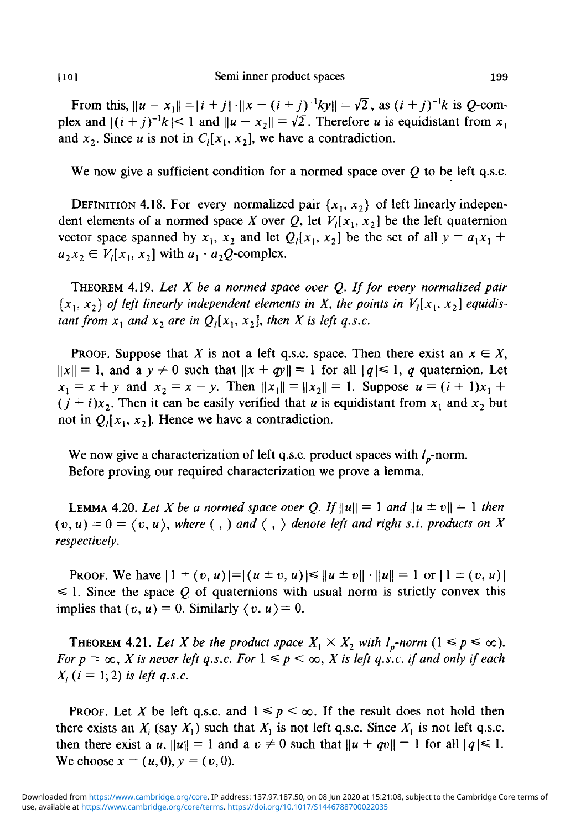From this,  $\|u - x_1\| = |i + j| \cdot \|x - (i + j)^{-1}ky\| = \sqrt{2}$ , as  $(i + j)^{-1}k$  is *Q*-complex and  $|(i + j)^{-1}k| \le 1$  and  $\|u - x_2\| = \sqrt{2}$ . Therefore *u* is equidistant from  $x_1$ and  $x_2$ . Since *u* is not in  $C_1[x_1, x_2]$ , we have a contradiction.

We now give a sufficient condition for a normed space over *Q* to be left q.s.c.

DEFINITION 4.18. For every normalized pair  $\{x_1, x_2\}$  of left linearly independent elements of a normed space X over Q, let  $V_1[x_1, x_2]$  be the left quaternion vector space spanned by  $x_1$ ,  $x_2$  and let  $Q_i[x_1, x_2]$  be the set of all  $y = a_1x_1 + b_2x_2$  $a_2 x_2 \in V_l[x_1, x_2]$ 

THEOREM 4.19. *Let X be a normed space over Q. If for every normalized pair*  ${x_1, x_2}$  of left linearly independent elements in X, the points in  $V_1[x_1, x_2]$  equidis*tant from*  $x_1$  *and*  $x_2$  *are in*  $Q_i[x_1, x_2]$ *, then X is left q.s.c.* 

**PROOF.** Suppose that X is not a left q.s.c. space. Then there exist an  $x \in X$ ,  $\|x\| = 1$ , and a  $y \neq 0$  such that  $\|x + qy\| = 1$  for all  $|q| \leq 1$ , q quaternion. Let  $x_1 = x + y$  and  $x_2 = x - y$ . Then  $||x_1|| = ||x_2|| = 1$ . Suppose  $u = (i + 1)x_1 + y_2$  $(j + i)x_2$ . Then it can be easily verified that *u* is equidistant from  $x_1$  and  $x_2$  but not in  $Q_1(x_1, x_2)$ . Hence we have a contradiction.

We now give a characterization of left q.s.c. product spaces with  $l_p$ -norm. Before proving our required characterization we prove a lemma.

LEMMA 4.20. Let X be a normed space over Q. If  $\|u\| = 1$  and  $\|u \pm v\| = 1$  then  $(v, u) = 0 = \langle v, u \rangle$ , where  $(v, v)$  and  $\langle v, v \rangle$  denote left and right s.i. products on X *respectively.*

**PROOF.** We have  $|1 \pm (v, u)| = |(u \pm v, u)| \le ||u \pm v|| \cdot ||u|| = 1$  or  $|1 \pm (v, u)|$  $\leq 1$ . Since the space Q of quaternions with usual norm is strictly convex this implies that  $(v, u) = 0$ . Similarly  $\langle v, u \rangle = 0$ .

THEOREM 4.21. Let X be the product space  $X_1 \times X_2$  with  $l_p$ -norm  $(1 \le p \le \infty)$ . *For*  $p = \infty$ , *X* is never left q.s.c. For  $1 \leq p \leq \infty$ , *X* is left q.s.c. if and only if each  $X_i$  (*i* = 1, 2) *is left q.s.c.* 

**PROOF.** Let X be left q.s.c. and  $1 \leq p \leq \infty$ . If the result does not hold then there exists an  $X_i$  (say  $X_1$ ) such that  $X_1$  is not left q.s.c. Since  $X_i$  is not left q.s.c. then there exist a u,  $||u|| = 1$  and a  $v \neq 0$  such that  $||u + qv|| = 1$  for all  $|q| \leq 1$ . We choose  $x = (u, 0), y = (v, 0).$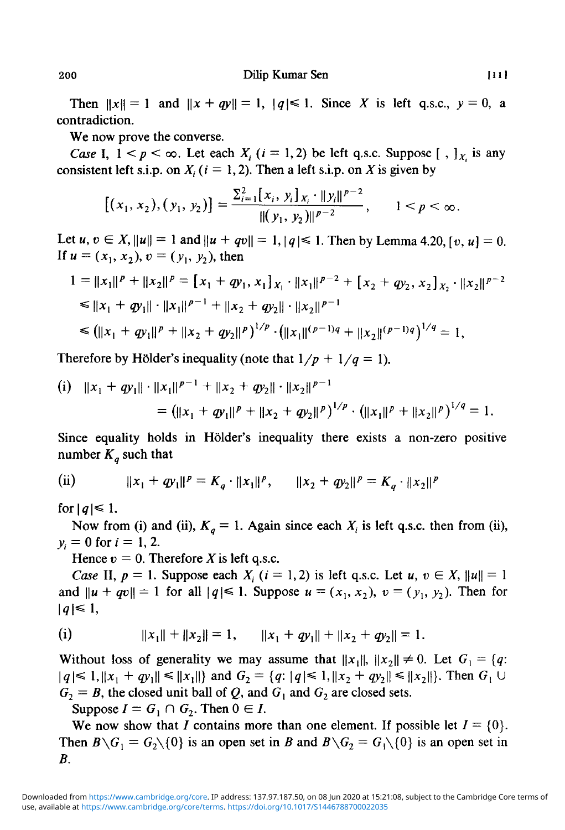Then  $||x|| = 1$  and  $||x + qy|| = 1$ ,  $|q| \le 1$ . Since *X* is left q.s.c.,  $y = 0$ , a contradiction.

We now prove the converse.

*Case* I,  $1 < p < \infty$ . Let each  $X_i$  ( $i = 1, 2$ ) be left q.s.c. Suppose [,  $\int_X$  is any consistent left s.i.p. on  $X_i$  ( $i = 1, 2$ ). Then a left s.i.p. on X is given by

$$
[(x_1, x_2), (y_1, y_2)] = \frac{\sum_{i=1}^{2} [x_i, y_i]_{x_i} \cdot ||y_i||^{p-2}}{||(y_1, y_2)||^{p-2}}, \qquad 1 < p < \infty.
$$

Let  $u, v \in X, ||u|| = 1$  and  $||u + qv|| = 1, |q| \le 1$ . Then by Lemma 4.20,  $[v, u] = 0$ . If  $u = (x_1, x_2), v = (y_1, y_2)$ , then

$$
1 = ||x_1||^p + ||x_2||^p = [x_1 + qy_1, x_1]_{x_1} \cdot ||x_1||^{p-2} + [x_2 + qy_2, x_2]_{x_2} \cdot ||x_2||^{p-2}
$$
  
\n
$$
\le ||x_1 + qy_1|| \cdot ||x_1||^{p-1} + ||x_2 + qy_2|| \cdot ||x_2||^{p-1}
$$
  
\n
$$
\le (||x_1 + qy_1||^p + ||x_2 + qy_2||^p)^{1/p} \cdot (||x_1||^{(p-1)q} + ||x_2||^{(p-1)q})^{1/q} = 1,
$$

Therefore by Hölder's inequality (note that  $1/p + 1/q = 1$ ).

(i) 
$$
||x_1 + qy_1|| \cdot ||x_1||^{p-1} + ||x_2 + qy_2|| \cdot ||x_2||^{p-1}
$$
  
=  $(||x_1 + qy_1||^p + ||x_2 + qy_2||^p)^{1/p} \cdot (||x_1||^p + ||x_2||^p)^{1/q} = 1.$ 

Since equality holds in Holder's inequality there exists a non-zero positive number  $K_q$  such that

(ii) 
$$
||x_1 + qy_1||^p = K_q \cdot ||x_1||^p, \qquad ||x_2 + qy_2||^p = K_q \cdot ||x_2||^p
$$

for  $|q| \leq 1$ .

Now from (i) and (ii),  $K_q = 1$ . Again since each  $X_i$  is left q.s.c. then from (ii),  $y_i = 0$  for  $i = 1, 2$ .

Hence  $v = 0$ . Therefore X is left q.s.c.

*Case* II,  $p = 1$ . Suppose each  $X_i$  ( $i = 1, 2$ ) is left q.s.c. Let  $u, v \in X$ ,  $||u|| = 1$ and  $||u + qv|| = 1$  for all  $|q| \le 1$ . Suppose  $u = (x_1, x_2), v = (y_1, y_2)$ . Then for  $|q| \leq 1$ ,

(i) 
$$
||x_1|| + ||x_2|| = 1, \qquad ||x_1 + qy_1|| + ||x_2 + qy_2|| = 1.
$$

Without loss of generality we may assume that  $||x_1||$ ,  $||x_2|| \neq 0$ . Let  $G_1 = \{q:$  $|q| \leq 1, \|x_1 + qy_1\| \leq \|x_1\|$  and  $G_2 = \{q: |q| \leq 1, \|x_2 + qy_2\| \leq \|x_2\|\}.$  Then  $G_1 \cup$  $G_2 = B$ , the closed unit ball of Q, and  $G_1$  and  $G_2$  are closed sets.

Suppose  $I = G_1 \cap G_2$ . Then  $0 \in I$ .

We now show that I contains more than one element. If possible let  $I = \{0\}$ . Then  $B \setminus G_1 = G_2 \setminus \{0\}$  is an open set in *B* and  $B \setminus G_2 = G_1 \setminus \{0\}$  is an open set in *B.*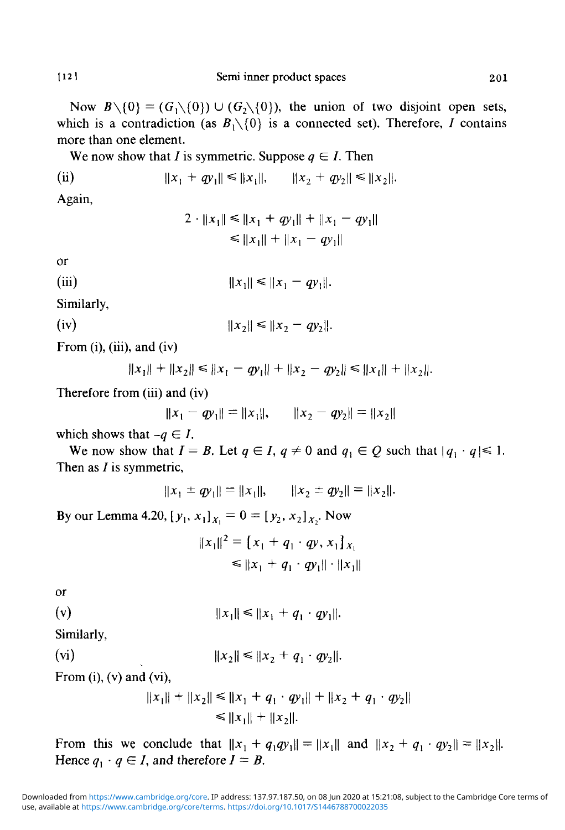Now  $B \setminus \{0\} = (G_1 \setminus \{0\}) \cup (G_2 \setminus \{0\})$ , the union of two disjoint open sets, which is a contradiction (as  $B_1 \setminus \{0\}$  is a connected set). Therefore, I contains more than one element.

We now show that *I* is symmetric. Suppose  $q \in I$ . Then

(ii) 
$$
||x_1 + qy_1|| \le ||x_1||, \qquad ||x_2 + qy_2|| \le ||x_2||.
$$

Again,

$$
2 \cdot ||x_1|| \le ||x_1 + qy_1|| + ||x_1 - qy_1||
$$
  
\n
$$
\le ||x_1|| + ||x_1 - qy_1||
$$

$$
\overline{a}
$$

(iii) 
$$
||x_1|| \le ||x_1 - qy_1||.
$$

Similarly,

(iv) 
$$
||x_2|| \le ||x_2 - qy_2||.
$$

From (i), (iii), and (iv)

 $||x_1|| + ||x_2|| \le ||x_1 - qy_1|| + ||x_2 - qy_2|| \le ||x_1|| + ||x_2||.$ 

Therefore from (iii) and (iv)

 $||x_1 - qy_1|| = ||x_1||$ ,  $||x_2 - qy_2|| = ||x_2||$ 

which shows that  $-q \in I$ .

We now show that  $I = B$ . Let  $q \in I$ ,  $q \neq 0$  and  $q_i \in Q$  such that  $|q_i \cdot q| \leq 1$ . Then as  $I$  is symmetric,

$$
||x_1 \pm qy_1|| = ||x_1||, \qquad ||x_2 \pm qy_2|| = ||x_2||.
$$

By our Lemma 4.20,  $[y_1, x_1]_{X_1} = 0 = [y_2, x_2]_{X_2}$ . Now

$$
||x_1||^2 = [x_1 + q_1 \cdot qy, x_1]_{x_1}
$$
  
\n
$$
\le ||x_1 + q_1 \cdot qy_1|| \cdot ||x_1||
$$

or

(v) 
$$
||x_1|| \le ||x_1 + q_1 \cdot qy_1||.
$$

Similarly,

$$
||x_2|| \le ||x_2 + q_1 \cdot qy_2||.
$$

From  $(i)$ ,  $(v)$  and  $(vi)$ ,

$$
||x_1|| + ||x_2|| \le ||x_1 + q_1 \cdot qy_1|| + ||x_2 + q_1 \cdot qy_2||
$$
  
\n
$$
\le ||x_1|| + ||x_2||.
$$

From this we conclude that  $||x_1 + q_1q_1|| = ||x_1||$  and  $||x_2 + q_1 \cdot q_2|| = ||x_2||$ . Hence  $q_1 \cdot q \in I$ , and therefore  $I = B$ .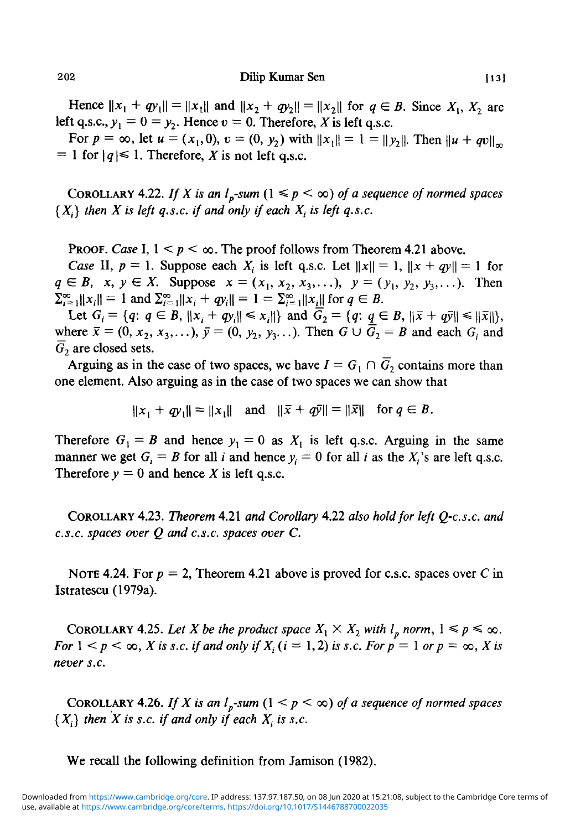202 Dilip Kumar Sen [13]

Hence  $||x_1 + qy_1|| = ||x_1||$  and  $||x_2 + qy_2|| = ||x_2||$  for  $q \in B$ . Since  $X_1, X_2$  are left q.s.c.,  $y_1 = 0 = y_2$ . Hence  $v = 0$ . Therefore, X is left q.s.c.

For  $p = \infty$ , let  $u = (x_1,0), v = (0, y_2)$  with  $||x_1|| = 1 - ||y_2||$ . Then  $||u + qv||_{\infty}$  $= 1$  for  $|q| \leq 1$ . Therefore, *X* is not left q.s.c.

COROLLARY 4.22. If X is an  $l_p$ -sum  $(1 \leq p \leq \infty)$  of a sequence of normed spaces  $\{X_i\}$  then X is left q.s.c. if and only if each  $X_i$  is left q.s.c.

**PROOF.** Case I,  $1 \leq p \leq \infty$ . The proof follows from Theorem 4.21 above.

*Case* II,  $p = 1$ . Suppose each  $X_i$  is left q.s.c. Let  $||x|| = 1$ ,  $||x + qy|| = 1$  for  $q \in B$ ,  $x, y \in X$ . Suppose  $x = (x_1, x_2, x_3, \ldots), y = (y_1, y_2, y_3, \ldots)$ . Then  $\sum_{i=1}^{\infty}||x_i|| = 1$  and  $\sum_{i=1}^{\infty}||x_i + qy_i|| = 1 = \sum_{i=1}^{\infty}||x_i||$  for  $q \in B$ .

Let  $G_i = \{q: q \in B, \|x_i + qy_i\| \le x_i\}$  and  $\overline{G}_2 = \{q: q \in B, \|\overline{x} + q\overline{y}\| \le \|\overline{x}\| \}$ , where  $\bar{x} = (0, x_2, x_3, \ldots), \bar{y} = (0, y_2, y_3, \ldots)$ . Then  $G \cup \bar{G}_2 = B$  and each  $G_i$  and  $\overline{G}_2$  are closed sets.

Arguing as in the case of two spaces, we have  $I = G_1 \cap \overline{G_2}$  contains more than one element. Also arguing as in the case of two spaces we can show that

 $||x_1 + qy_1|| = ||x_1||$  and  $||\bar{x} + q\bar{y}|| = ||\bar{x}||$  for  $q \in B$ .

Therefore  $G_1 = B$  and hence  $y_1 = 0$  as  $X_1$  is left q.s.c. Arguing in the same manner we get  $G_i = B$  for all *i* and hence  $y_i = 0$  for all *i* as the  $X_i$ 's are left q.s.c. Therefore  $y = 0$  and hence *X* is left q.s.c.

COROLLARY 4.23. *Theorem* 4.21 *and Corollary* 4.22 *also hold for left Q-c.s.c. and c.s.c. spaces over Q and c.s.c. spaces over C.*

NOTE 4.24. For  $p = 2$ , Theorem 4.21 above is proved for c.s.c. spaces over C in Istratescu (1979a).

COROLLARY 4.25. Let X be the product space  $X_1 \times X_2$  with  $l_p$  norm,  $1 \le p \le \infty$ . *For*  $1 < p < \infty$ , *X* is s.c. if and only if  $X_i$  ( $i = 1, 2$ ) is s.c. For  $p = 1$  or  $p = \infty$ , *X* is *never s.c.*

COROLLARY 4.26. If X is an  $l_p$ -sum  $(1 \leq p \leq \infty)$  of a sequence of normed spaces  $\{X_i\}$  then X is s.c. if and only if each  $X_i$  is s.c.

We recall the following definition from Jamison (1982).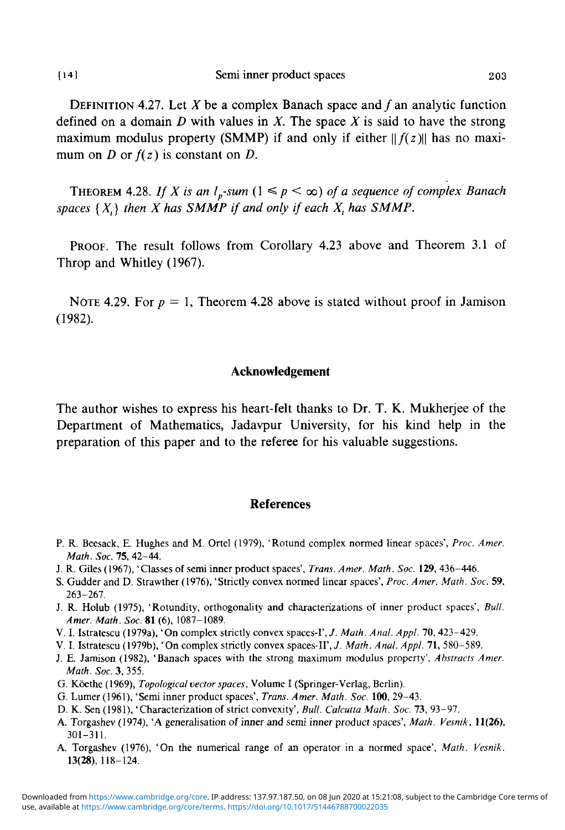DEFINITION 4.27. Let X be a complex Banach space and  $f$  an analytic function defined on a domain *D* with values in *X.* The space *X* is said to have the strong maximum modulus property (SMMP) if and only if either  $||f(z)||$  has no maximum on *D* or  $f(z)$  is constant on *D*.

THEOREM 4.28. If X is an  $l_p$ -sum  $(1 \leq p \leq \infty)$  of a sequence of complex Banach spaces  $\{X_i\}$  then X has SMMP if and only if each  $X_i$  has SMMP.

PROOF. The result follows from Corollary 4.23 above and Theorem 3.1 of Throp and Whitley (1967).

NOTE 4.29. For  $p = 1$ , Theorem 4.28 above is stated without proof in Jamison (1982).

### **Acknowledgement**

The author wishes to express his heart-felt thanks to Dr. T. K. Mukherjee of the Department of Mathematics, Jadavpur University, for his kind help in the preparation of this paper and to the referee for his valuable suggestions.

#### **References**

- P. R. Beesack, E. Hughes and M. Ortel (1979), 'Rotund complex normed linear spaces', *Proc. Amer. Math. Soc.* 75, 42-44.
- J. R. Giles (1967), 'Classes of semi inner product spaces', *Trans. Amer. Math. Soc.* **129,** 436-446.
- S. Gudder and D. Strawther (1976), 'Strictly convex normed linear spaces', *Proc. Amer. Math. Soc.* 59, 263-267.
- J. R. Holub (1975), 'Rotundity, orthogonality and characterizations of inner product spaces', *Bull. Amer. Math. Soc.* **81** (6), 1087-1089.
- V. I. Istratescu (1979a), 'On complex strictly convex spaces-1', *J. Math. Anal. Appl.* 70, 423-429.
- V. I. Istratescu (1979b), 'On complex strictly convex spaces-II',7. *Math. Anal. Appl.* 71, 580-589.
- J. E. Jamison (1982), 'Banach spaces with the strong maximum modulus property', *Abstracts Amer. Math. Soc.* 3, 355.
- G. Koethe (1969), *Topological vector spaces,* Volume I (Springer-Verlag, Berlin).
- G. Lumer (1961), 'Semi inner product spaces', *Trans. Amer. Math. Soc.* **100,** 29-43.
- D. K. Sen (1981), 'Characterization of strict convexity', *Bull. Calcutta Math. Soc.* 73, 93-97.
- A. Torgashev (1974), 'A generalisation of inner and semi inner product spaces', *Math. Vesnik,* **11(26),** 301-311.
- A. Torgashev (1976), 'On the numerical range of an operator in a normed space', *Math. Vesnik.* **13(28),** 118-124.